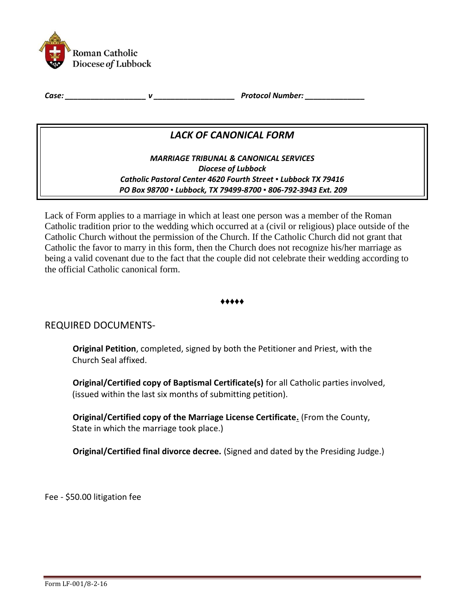

*Case: \_\_\_\_\_\_\_\_\_\_\_\_\_\_\_\_\_\_\_ v \_\_\_\_\_\_\_\_\_\_\_\_\_\_\_\_\_\_\_ Protocol Number: \_\_\_\_\_\_\_\_\_\_\_\_\_\_* 

# *LACK OF CANONICAL FORM*

*MARRIAGE TRIBUNAL & CANONICAL SERVICES Diocese of Lubbock Catholic Pastoral Center 4620 Fourth Street ▪ Lubbock TX 79416 PO Box 98700 ▪ Lubbock, TX 79499-8700 ▪ 806-792-3943 Ext. 209*

Lack of Form applies to a marriage in which at least one person was a member of the Roman Catholic tradition prior to the wedding which occurred at a (civil or religious) place outside of the Catholic Church without the permission of the Church. If the Catholic Church did not grant that Catholic the favor to marry in this form, then the Church does not recognize his/her marriage as being a valid covenant due to the fact that the couple did not celebrate their wedding according to the official Catholic canonical form.

### ♦♦♦♦♦

## REQUIRED DOCUMENTS-

**Original Petition**, completed, signed by both the Petitioner and Priest, with the Church Seal affixed.

**Original/Certified copy of Baptismal Certificate(s)** for all Catholic parties involved, (issued within the last six months of submitting petition).

**Original/Certified copy of the Marriage License Certificate.** (From the County, State in which the marriage took place.)

**Original/Certified final divorce decree.** (Signed and dated by the Presiding Judge.)

Fee - \$50.00 litigation fee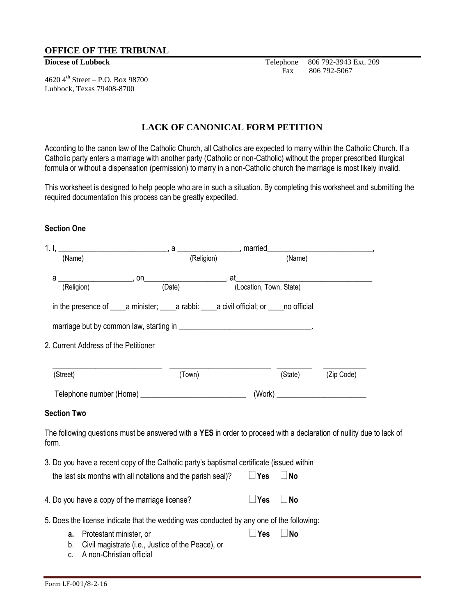### **OFFICE OF THE TRIBUNAL**

4620  $4^{th}$  Street – P.O. Box 98700 Lubbock, Texas 79408-8700

**Diocese of Lubbock** Telephone 806 792-3943 Ext. 209 Fax 806 792-5067

## **LACK OF CANONICAL FORM PETITION**

According to the canon law of the Catholic Church, all Catholics are expected to marry within the Catholic Church. If a Catholic party enters a marriage with another party (Catholic or non-Catholic) without the proper prescribed liturgical formula or without a dispensation (permission) to marry in a non-Catholic church the marriage is most likely invalid.

This worksheet is designed to help people who are in such a situation. By completing this worksheet and submitting the required documentation this process can be greatly expedited.

### **Section One**

| (Name)                                                                                                                        | (Religion) |            | (Name)    |            |  |
|-------------------------------------------------------------------------------------------------------------------------------|------------|------------|-----------|------------|--|
| a                                                                                                                             |            |            |           |            |  |
| (Religion)                                                                                                                    |            |            |           |            |  |
|                                                                                                                               |            |            |           |            |  |
|                                                                                                                               |            |            |           |            |  |
| 2. Current Address of the Petitioner                                                                                          |            |            |           |            |  |
| (Street)                                                                                                                      | (Town)     |            | (State)   | (Zip Code) |  |
|                                                                                                                               |            |            |           |            |  |
| <b>Section Two</b>                                                                                                            |            |            |           |            |  |
| The following questions must be answered with a YES in order to proceed with a declaration of nullity due to lack of<br>form. |            |            |           |            |  |
| 3. Do you have a recent copy of the Catholic party's baptismal certificate (issued within                                     |            |            |           |            |  |
| the last six months with all notations and the parish seal)?                                                                  |            | $\Box$ Yes | $\Box$ No |            |  |
| 4. Do you have a copy of the marriage license?                                                                                |            | $\Box$ Yes | <b>No</b> |            |  |
| 5. Does the license indicate that the wedding was conducted by any one of the following:                                      |            |            |           |            |  |
| Protestant minister, or<br>a.<br>Civil magistrate (i.e., Justice of the Peace), or<br>b.<br>A non-Christian official<br>C.    |            | $\Box$ Yes | <b>No</b> |            |  |